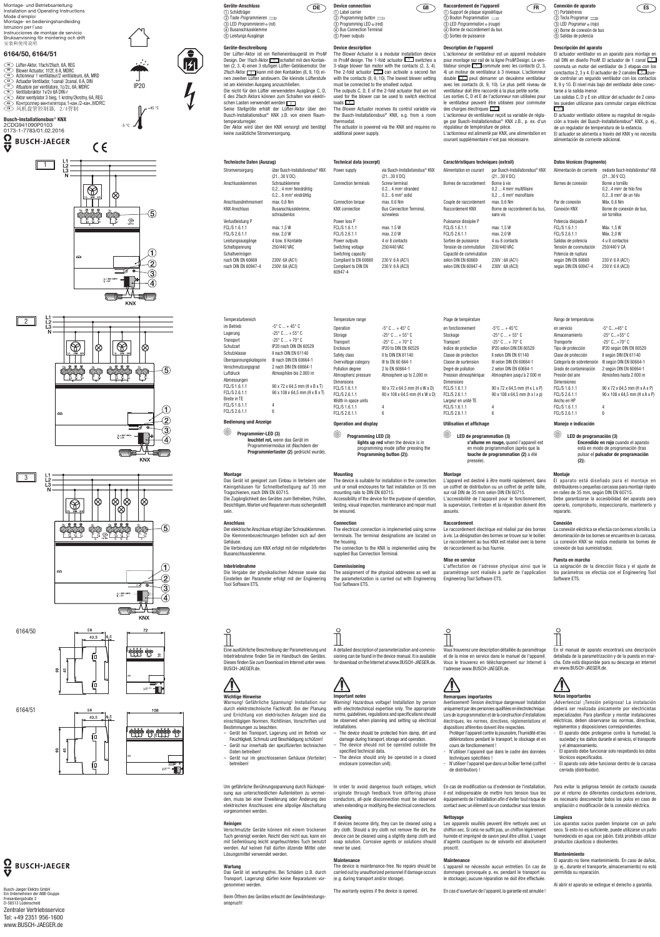**Technische Daten (Auszug)**

Stromversorgung über Busch-Installationsbus® KNX (21...30 V DC)

> 0,2... 4 mm2 feindrähtig 0,2... 6 mm<sup>2</sup> eindrähtig

Anschlussdrehmoment max. 0,6 Nm KNX Anschluss Busanschlussklemme,

Anschlussklemmen Schraubklemme

Leistungsausgänge 4 bzw. 8 Kontakte Schaltspannung 250/440 VAC

schraubenlos

Verlustleistung P FCL/S 1.6.1.1 FCL/S 2.6.1.1

max. 1,5 W max. 2,0 W

Schaltvermögen nach DIN EN 60669 nach DIN EN 60947-4

230V: 6A (AC1) 230V: 6A (AC3)



# **Geräte-Beschreibung**

Der Lüfter-Aktor ist ein Reiheneinbaugerät im Pro*M* Design. Der 1 fach Aktor 1 schaltet mit den Kontakten (2, 3, 4) einen 3 stufigen Lüfter-Gebläsemotor. Der 2fach Aktor 2 kann mit den Kontakten (8, 9, 10) einen zweiten Lüfter ansteuern. Die kleinste Lüfterstufe ist am kleinsten Ausgang anzuschließen. Die nicht für den Lüfter verwendeten Ausgänge C, D, E des 2fach Aktors können zum Schalten von elektrischen Lasten verwendet werden  $\boxed{3}$ . Seine Stellgröße erhält der Lüfter-Aktor über den Busch-Installationsbus® KNX z.B. von einem Raumtemperaturregler. Der Aktor wird über den KNX versorgt und benötigt keine zusätzliche Stromversorgung.

#### $\bigcirc$ **Programmier-LED (3)**

**DE**

# **Montage**

Das Gerät ist geeignet zum Einbau in Verteilern oder Kleingehäusen für Schnellbefestigung auf 35 mm Tragschienen, nach DIN EN 60715. Die Zugänglichkeit des Gerätes zum Betreiben, Prüfen, Besichtigen, Warten und Reparieren muss sichergestellt sein.

# **Anschluss**

Der elektrische Anschluss erfolgt über Schraubklemmen. Die Klemmenbezeichnungen befinden sich auf dem Gehäuse. Die Verbindung zum KNX erfolgt mit der mitgelieferten Busanschlussklemme.

# **Inbetriebnahme**

 $\circ$ 

Die Vergabe der physikalischen Adresse sowie das Einstellen der Parameter erfolgt mit der Engineering Tool Software ETS.

**GB FR ES Raccordement de l'appareil** a Support de plaque signalétique  $\odot$  Bouton Programmation  $\equiv$ **3** LED *Programmation*  $\circ$  (rouge) d Borne de raccordement du bus (5) Sorties de puissance

| Temperaturbereich      |                                      |
|------------------------|--------------------------------------|
| im Betrieb             | $-5^{\circ}$ C $ + 45^{\circ}$ C     |
| Lagerung               | $-25^{\circ}$ C $$ + 55 $^{\circ}$ C |
| Transport              | $-25^{\circ}$ C $ + 70^{\circ}$ C    |
| Schutzart              | IP20 nach DIN EN 60529               |
| Schutzklasse           | II nach DIN EN 61140                 |
| Überspannungskategorie | III nach DIN EN 60664-1              |
| Verschmutzungsgrad     | 2 nach DIN EN 60664-1                |
| Luftdruck              | Atmosphäre bis 2.000 m               |
| Abmessungen            |                                      |
| FCL/S 1.6.1.1          | 90 x 72 x 64,5 mm (H x B x T)        |
| FCL/S 2.6.1.1          | 90 x 108 x 64,5 mm (H x B x T)       |
| Breite in TE           |                                      |
| FCL/S 1.6.1.1          | 4                                    |
| FCL/S 2.6.1.1          | 6                                    |
|                        |                                      |

**Device connection** a Label carrier b *Programming button*  $\circledS$  Programming LED  $\circ$  (red) d Bus Connection Terminal (5) Power outputs

# **Bedienung und Anzeige**

 **leuchtet rot,** wenn das Gerät im Programmiermodus ist (Nachdem der **Programmiertaster (2)** gedrückt wurde).

Eine ausführliche Beschreibung der Parametrierung und Inbetriebnahme finden Sie im Handbuch des Gerätes. Dieses finden Sie zum Download im Internet unter www. BUSCH-JAEGER.de.

**Wichtige Hinweise**

Bestimmungen zu beachten.

- Gerät bei Transport, Lagerung und im Betrieb vor Feuchtigkeit, Schmutz und Beschädigung schützen!
- Gerät nur innerhalb der spezifizierten technischen Daten betreiben!
- Gerät nur im geschlossenen Gehäuse (Verteiler) betreiben!

Um gefährliche Berührungsspannung durch Rückspeisung aus unterschiedlichen Außenleitern zu vermeiden, muss bei einer Erweiterung oder Änderung des elektrischen Anschlusses eine allpolige Abschaltung vorgenommen werden.

# **Reinigen**

Verschmutzte Geräte können mit einem trockenen Tuch gereinigt werden. Reicht dies nicht aus, kann ein mit Seifenlösung leicht angefeuchtetes Tuch benutzt werden. Auf keinen Fall dürfen ätzende Mittel oder Lösungsmittel verwendet werden.

# **Wartung**

Das Gerät ist wartungsfrei. Bei Schäden (z.B. durch Transport, Lagerung) dürfen keine Reparaturen vorgenommen werden.

Beim Öffnen des Gerätes erlischt der Gewährleistungsanspruch!











6164/51



 $\frac{\Omega}{\mathbf{V}}$ **BUSCH-JAEGER**  **Technical data (excerpt)**

Power loss P FCL/S 1.6.1.1 FCL/S 2.6.1.1

Switching capacity Compliant to EN 60669 Compliant to DIN EN 60947-4

**Device description**

The Blower Actuator is a modular installation device in Pro*M* design. The 1-fold actuator  $\boxed{1}$  switches a 3-stage blower fan motor with the contacts (2, 3, 4). The 2-fold actuator  $\boxed{2}$  can activate a second fan with the contacts (8, 9, 10). The lowest blower setting

Warnung! Gefährliche Spannung! Installation nur durch elektrotechnische Fachkraft. Bei der Planung und Errichtung von elektrischen Anlagen sind die einschlägigen Normen, Richtlinien, Vorschriften und Warning! Hazardous voltage! Installation by person with electrotechnical expertise only. The appropriate norms, guidelines, regulations and specifications should installations.

must be connected to the smallest output. The outputs C, D, E of the 2-fold actuator that are not used for the blower can be used to switch electrical  $\log \sqrt{3}$ The Blower Actuator receives its control variable via the Busch-Installationsbus® KNX, e.g. from a room thermostat. The actuator is powered via the KNX and requires no additional power supply.

# **Mounting**

The device is suitable for installation in the connection unit or small enclosures for fast installation on 35 mm mounting rails to DIN EN 60715. Accessibility of the device for the purpose of operation, testing, visual inspection, maintenance and repair must be ensured.

# **Connection**

The electrical connection is implemented using screw terminals. The terminal designations are located on the housing. The connection to the KNX is implemented using the supplied Bus Connection Terminal.

# **Commissioning**

The assignment of the physical addresses as well as the parameterization is carried out with Engineering Tool Software ETS.

> L'appareil ne nécessite aucun entretien. En cas de dommages (provoqués p. ex. pendant le transport ou le stockage), aucune réparation ne doit être effectuée

### Temperature range Operation  $-5^{\circ}$  C  $... + 45^{\circ}$  C Storage  $-25^{\circ}$  C  $... + 55^{\circ}$  C Transport  $-25^\circ$  C  $... + 70^\circ$  C Enclosure IP20 to DIN EN 60529 Safety class II to DIN EN 61140 Overvoltage category III to EN 60 664-1 Pollution degree 2 to FN 60664-1 Atmospheric pressure Atmosphere up to 2,000 m Dimensions FCL/S 1.6.1.1 FCL/S 2.6.1.1 Width in space units FCL/S 1.6.1.1 FCL/S 2.6.1.1 4 6

#### Power supply via Busch-Installationsbus® KNX (21...30 V DC) Connection terminals Screw terminal 0.2... 4 mmª stranded  $0.2...$  6 mm $^2$  solid Connection torque max. 0.6 Nm KNX connection Bus Connection Terminal screwless max. 1.5 W max. 2.0 W Power outputs 4 or 8 contacts Switching voltage 250/440 VAC 230 V: 6 A (AC1) 230 V: 6 A (AC3) Alimentation en Bornes de racco Couple de racco Raccordement K Puissance dissipée P FCL/S 1.6.1.1 FCL/S 2.6.1.1 Sorties de puissance 4 ou 8 contacts Tension de commutation 250/440 VAC Capacité de commutation selon DIN EN 60669 selon DIN EN 60947-4

90 x 72 x 64.5 mm (H x W x D) 90 x 108 x 64.5 mm (H x W x D)

# **Operation and display**

**Programming LED (3) lights up red** when the device is in

**Conexión de aparato** a Portaletreros  $\overline{2}$  Tecla Programar  $\equiv$ **3** LED *Programar*  $\circ$  (rojo) d Borne de conexión de bus  $\bar{e}$  Salidas de potencia

programming mode (after pressing the **Programming button (2))**.

A detailed description of parameterization and commissioning can be found in the device manual. It is available for download on the Internet at www.BUSCH-JAEGER.de.



# **Important notes**

Las salidas C, D y E sin utilizar del actuador de 2 canales pueden utilizarse para conmutar cargas eléctricas  $3$ 

be observed when planning and setting up electrical – The device should be protected from damp, dirt and

- damage during transport, storage and operation.
- The device should not be operated outside the specified technical data.
- The device should only be operated in a closed enclosure (connection unit).

In order to avoid dangerous touch voltages, which originate through feedback from differing phase conductors, all-pole disconnection must be observed when extending or modifying the electrical connections.

**Cleaning**

If devices become dirty, they can be cleaned using a dry cloth. Should a dry cloth not remove the dirt, the

never be used. **Maintenance**

carried out by unauthorized personnel if damage occurs

(e.g. during transport and/or storage).

The warranty expires if the device is opened.

max. 1,5 W max. 2,0 W

230V : 6A (AC1) 230V : 6A (AC3)

0173-1-7783/01.02.2016  $\overline{\mathbf{Q}}$ **BUSCH-JAEGER** 

### **Description de l'appareil**

L'actionneur de ventilateur est un appareil modulaire pour montage sur rail de la ligne Pro*M* Design. Le ventilateur simple  $\Box$  commute avec les contacts (2, 3, 4) un moteur de ventilateur à 3 niveaux. L'actionneur  $\frac{1}{2}$  peut démarrer un deuxième ventilateur avec les contacts (8, 9, 10). Le plus petit niveau de ventilateur doit être raccordé à la plus petite sortie. Les sorties C, D et E de l'actionneur non utilisées pour le ventilateur peuvent être utilisées pour commuter des charges électriques  $\boxed{3}$ L'actionneur de ventilateur reçoit sa variable de réglage par Busch-Installationsbus® KNX z.B., p. ex. d'un régulateur de température de pièce. L'actionneur est alimenté par KNX, une alimentation en courant supplémentaire n'est pas nécessaire.

#### **Montage**

L'appareil est destiné à être monté rapidement, dans un coffret de distribution ou un coffret de petite taille, sur rail DIN de 35 mm selon DIN EN 60715. L'accessibilité de l'appareil pour le fonctionnement, la supervision, l'entretien et la réparation doivent être assurés.

device can be cleaned using a slightly damp cloth and soap solution. Corrosive agents or solutions should **Nettoyage**

# **Raccordement**

Le raccordement électrique est réalisé par des bornes à vis. La désignation des bornes se trouve sur le boitier. Le raccordement au bus KNX est réalisé avec la borne de raccordement au bus fournie.

The device is maintenance-free. No repairs should be **Maintenance**



# **Mise en service**

L'affectation de l'adresse physique ainsi que le paramétrage sont réalisés à partir de l'application Engineering Tool Software ETS.

| Caractéristiques techniques (extrait) |                                                                                          | Datos técnicos (fragmento) |                                                                                                |  |
|---------------------------------------|------------------------------------------------------------------------------------------|----------------------------|------------------------------------------------------------------------------------------------|--|
| Alimentation en courant               | par Busch-Installationsbus <sup>®</sup> KNX<br>(2130 V DC)                               | Alimentación de corriente  | mediante Busch-Installationsbus® KN)<br>(2130 V CC)                                            |  |
| Bornes de raccordement                | Borne à vis<br>$0.24$ mm <sup>2</sup> multifilaire<br>$0.26$ mm <sup>2</sup> monofilaire | Bornes de conexión         | Borne a tornillo<br>$0, 24$ mm <sup>2</sup> de hilo fino<br>$0, 26$ mm <sup>2</sup> de un hilo |  |
| Couple de raccordement                | max. 0.6 Nm                                                                              | Par de conexión            | Máx. 0.6 Nm                                                                                    |  |
| Raccordement KNX                      | Borne de raccordement du bus.<br>sans vis                                                | Conexión KNX               | Borne de conexión de bus.<br>sin tornillos                                                     |  |
| Puissance dissipée P                  |                                                                                          | Potencia disipada P        |                                                                                                |  |

### Plage de température en fonctionnement  $-5^{\circ}$ C ... + 45 $^{\circ}$ C Stockage  $-25^{\circ}$  C  $... + 55^{\circ}$  C Transport  $-25^\circ$  C  $... + 70^\circ$  C Indice de protection IP20 selon DIN EN 60529 Classe de protection II selon DIN EN 61140 Classe de surtension III selon DIN EN 60664-1 Degré de pollution 2 selon DIN EN 60664-1 Pression atmosphérique Atmosphère jusqu'à 2 000 m Dimensions FCL/S 1.6.1.1 FCL/S 2.6.1.1 90 x 72 x 64,5 mm (H x L x P) 90 x 108 x 64,5 mm (h x l x p) Largeur en unité TE 4 6

FCL/S 1.6.1.1 FCL/S 2.6.1.1

 $\overline{\mathsf{I}^\sharp}$ 

# **Utilisation et affichage**

**LED de programmation (3) s'allume en rouge,** quand l'appareil est en mode programmation (après que la **touche de programmation (2)** a été pressée).

Vous trouverez une description détaillée du paramétrage et de la mise en service dans le manuel de l'appareil. Vous le trouverez en téléchargement sur Internet à l'adresse www.BUSCH-JAEGER.de.



 $\circ$ 

### **Remarques importantes**

Avertissement! Tension électrique dangereuse! Installation uniquement par des personnes qualifiées en électrotechnique. Lors de la programmation et de la construction d'installations électriques, les normes, directives, réglementations et dispositions afférentes doivent être respectées.

- Protéger l'appareil contre la poussière, l'humidité et les détériorations pendant le transport, le stockage et en cours de fonctionnement !
- N'utiliser l'appareil que dans le cadre des données techniques spécifiées !
- N'utiliser l'appareil que dans un boîtier fermé (coffret de distribution) !

En cas de modification ou d'extension de l'installation, il est indispensable de mettre hors tension tous les équipements de l'installation afin d'éviter tout risque de contact avec un élément ou un conducteur sous tension.

Les appareils souillés peuvent être nettoyés avec un chiffon sec. Si cela ne suffit pas, un chiffon légèrement humide et imprégné de savon peut être utilisé. L'usage d'agents caustiques ou de solvants est absolument

proscrit.

En cas d'ouverture de l'appareil, la garantie est annulée !

FCL/S 1.6.1.1 FCL/S 2.6.1.1 Máx. 1,5 W Máx. 2,0 W Salidas de potencia 4 u 8 contactos Tensión de conmutación 250/440 V CA Potencia de ruptura según DIN EN 60669 según DIN EN 60947-4 230 V: 6 A (AC1) 230 V: 6 A (AC3)

# **Descripción del aparato**

El actuador ventilador es un aparato para montaje en raíl DIN en diseño Pro*M*. El actuador de 1 canal 1 conmuta un motor del ventilador de 3 etapas con los conctactos 2, 3 y 4. El actuador de 2 canales  $\boxed{2}$  puede controlar un segundo ventilador con los contactos 8, 9 y 10. El nivel más bajo del ventilador debe conectarse a la salida menor.

El actuador ventilador obtiene su magnitud de regulación a través del Busch-Installationsbus® KNX, p. ej., de un regulador de temperatura de la estancia. El actuador se alimenta a través del KNX y no necesita alimentación de corriente adicional.

#### **Montaje**

El aparato está diseñado para el montaje en distribuidores o pequeñas carcasas para montaje rápido en raíles de 35 mm, según DIN EN 60715. Debe garantizarse la accesibilidad del aparato para operarlo, comprobarlo, inspeccionarlo, mantenerlo y repararlo.

# **Conexión**

La conexión eléctrica se efectúa con bornes a tornillo. La denominación de los bornes se encuentra en la carcasa. La conexión KNX se realiza mediante los bornes de conexión de bus suministrados.

### **Puesta en marcha**

La asignación de la dirección física y el ajuste de los parámetros se efectúa con el Engineering Tool Software ETS.

# Rango de temperaturas

| en servicio               | $-5^{\circ}$ C $+45^{\circ}$ C |
|---------------------------|--------------------------------|
| Almacenamiento            | $-25^{\circ}$ C +55° C         |
| Transporte                | $-25^{\circ}$ C+70° C          |
| Tipo de protección        | IP20 según DIN EN 60529        |
| Clase de protección       | Il según DIN EN 61140          |
| Categoría de sobretensión | III según DIN EN 60664-1       |
| Grado de contaminación    | 2 según DIN EN 60664-1         |
| Presión del aire          | Atmósfera hasta 2 000 m        |
| <b>Dimensiones</b>        |                                |
| FCL/S 1.6.1.1             | 90 x 72 x 64,5 mm (H x A x P)  |
| FCL/S 2.6.1.1             | 90 x 108 x 64,5 mm (H x A x P) |
| Ancho en HP               |                                |
| FCL/S 1.6.1.1             | 4                              |
| FCL/S 2.6.1.1             | հ                              |

# **Manejo e indicación**

Dir F<sub>C</sub> FC

An F<sub>C</sub> F<sub>C</sub>

 $\bigcirc$ 

**LED de programación (3) Encendido en rojo** cuando el aparato está en modo de programación (tras pulsar el **pulsador de programación (2)**).

En el manual de aparato encontrará una descripción detallada de la parametrización y de la puesta en marcha. Este está disponible para su descarga en Internet en www.BUSCH-JAEGER.de.



 $\circ$ 

# **Notas importantes**

¡Advertencia! ¡Tensión peligrosa! La instalación deberá ser realizada únicamente por electricistas especializados. Para planificar y montar instalaciones eléctricas, deben observarse las normas, directivas, reglamentos y disposiciones correspondientes.

- El aparato debe protegerse contra la humedad, la suciedad y los daños durante el servicio, el transporte y el almacenamiento.
- El aparato debe funcionar solo respetando los datos técnicos especificados.
- El aparato solo debe funcionar dentro de la carcasa cerrada (distribuidor).

Para evitar la peligrosa tensión de contacto causada por el retorno de diferentes conductores exteriores, es necesario desconectar todos los polos en caso de ampliación o modificación de la conexión eléctrica.

# **Limpieza**

Los aparatos sucios pueden limpiarse con un paño seco. Si esto no es suficiente, puede utilizarse un paño humedecido en agua con jabón. Está prohibido utilizar productos cáusticos o disolventes.

# **Mantenimiento**

El aparato no tiene mantenimiento. En caso de daños, (p. ej., durante el transporte, almacenamiento) no está permitida su reparación.

Al abrir el aparato se extingue el derecho a garantía.







Montage- und Betriebsanleitung Installation and Operating Instructions Mode d´emploi Montage- en bedieningshandleiding Istruzioni per l´uso Instrucciones de montaje de servicio Bruksanvisning för montering och drift 安装和使用说明

# **6164/50, 6164/51**

**DE** Lüfter-Aktor, 1 fach/2 fach, 6A, REG<br>**DE** Blower Actuator, 1 f/2f. 6 A. MDRC **EN** Blower Actuator, 1f/2f, 6 A, MDRC **FR** Actionneur 1 ventilateur/2 ventilateurs, 6A, MRD **ES** Actuador Ventilador, 1canal/ 2canal, 6 A, DIN<br> **ES** Actuador Ventilador, 1canal/ 2canal, 6 A, DIN<br> **EN Actuador Per ventilatore**, 1c/2c, 6A, MDRC Attuatore per ventilatore, 1c/2c, 6A, MDRC **NL Ventilatoraktor 1 v/2v 6A DIN-r**<br>**NL Aktor wentylator 3 bieg, 1 krot PL** Aktor wentylator 3 bieg, 1 krotny/2krotny, 6A, REG <u>�</u> ) Контроллер вентилятора,1-кан./2-кан.,MDRC<br><u></u>◎ ) 风机盘管控制器, 2/4管制

**Busch-Installationsbus**® **KNX** 2CDG941090P0103

 $\overline{\bm{v}}$ 

Busch-Jaeger Elektro GmbH Ein Unternehmen der ABB-Gruppe Freisenbergstraße 2 D-58513 Lüdenscheid

Zentraler Vertriebsservice Tel: +49 2351 956-1600 www.BUSCH-JAEGER.de